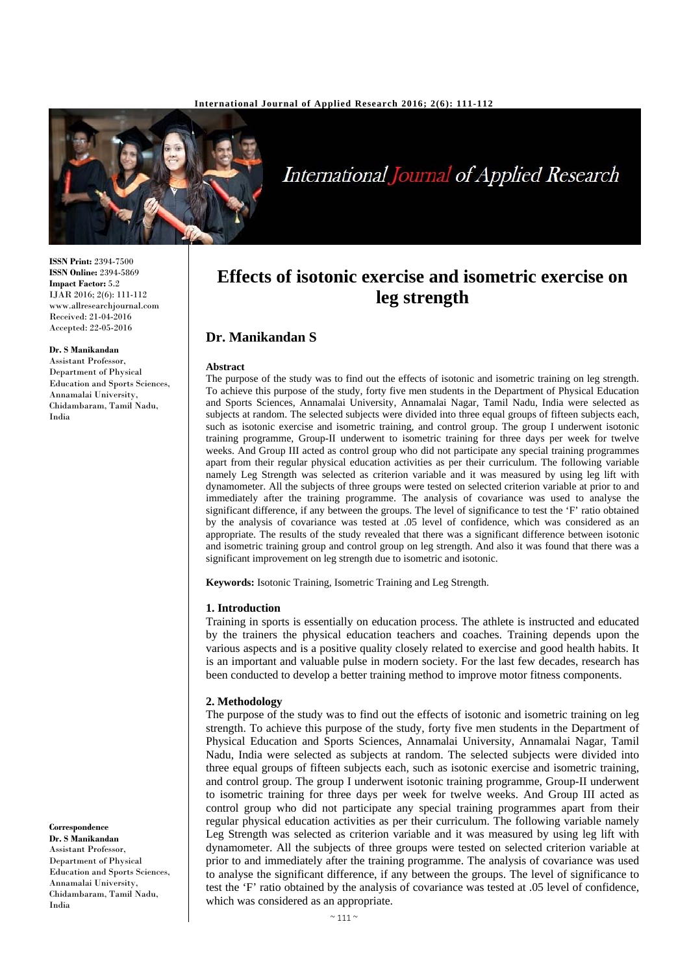

**International Journal of Applied Research** 

**ISSN Print:** 2394-7500 **ISSN Online:** 2394-5869 **Impact Factor:** 5.2 IJAR 2016; 2(6): 111-112 www.allresearchjournal.com Received: 21-04-2016 Accepted: 22-05-2016

**Dr. S Manikandan** 

Assistant Professor, Department of Physical Education and Sports Sciences, Annamalai University, Chidambaram, Tamil Nadu, India

**Correspondence Dr. S Manikandan**  Assistant Professor, Department of Physical Education and Sports Sciences, Annamalai University, Chidambaram, Tamil Nadu, India

# **Effects of isotonic exercise and isometric exercise on leg strength**

## **Dr. Manikandan S**

#### **Abstract**

The purpose of the study was to find out the effects of isotonic and isometric training on leg strength. To achieve this purpose of the study, forty five men students in the Department of Physical Education and Sports Sciences, Annamalai University, Annamalai Nagar, Tamil Nadu, India were selected as subjects at random. The selected subjects were divided into three equal groups of fifteen subjects each, such as isotonic exercise and isometric training, and control group. The group I underwent isotonic training programme, Group-II underwent to isometric training for three days per week for twelve weeks. And Group III acted as control group who did not participate any special training programmes apart from their regular physical education activities as per their curriculum. The following variable namely Leg Strength was selected as criterion variable and it was measured by using leg lift with dynamometer. All the subjects of three groups were tested on selected criterion variable at prior to and immediately after the training programme. The analysis of covariance was used to analyse the significant difference, if any between the groups. The level of significance to test the 'F' ratio obtained by the analysis of covariance was tested at .05 level of confidence, which was considered as an appropriate. The results of the study revealed that there was a significant difference between isotonic and isometric training group and control group on leg strength. And also it was found that there was a significant improvement on leg strength due to isometric and isotonic.

**Keywords:** Isotonic Training, Isometric Training and Leg Strength.

### **1. Introduction**

Training in sports is essentially on education process. The athlete is instructed and educated by the trainers the physical education teachers and coaches. Training depends upon the various aspects and is a positive quality closely related to exercise and good health habits. It is an important and valuable pulse in modern society. For the last few decades, research has been conducted to develop a better training method to improve motor fitness components.

### **2. Methodology**

The purpose of the study was to find out the effects of isotonic and isometric training on leg strength. To achieve this purpose of the study, forty five men students in the Department of Physical Education and Sports Sciences, Annamalai University, Annamalai Nagar, Tamil Nadu, India were selected as subjects at random. The selected subjects were divided into three equal groups of fifteen subjects each, such as isotonic exercise and isometric training, and control group. The group I underwent isotonic training programme, Group-II underwent to isometric training for three days per week for twelve weeks. And Group III acted as control group who did not participate any special training programmes apart from their regular physical education activities as per their curriculum. The following variable namely Leg Strength was selected as criterion variable and it was measured by using leg lift with dynamometer. All the subjects of three groups were tested on selected criterion variable at prior to and immediately after the training programme. The analysis of covariance was used to analyse the significant difference, if any between the groups. The level of significance to test the 'F' ratio obtained by the analysis of covariance was tested at .05 level of confidence, which was considered as an appropriate.